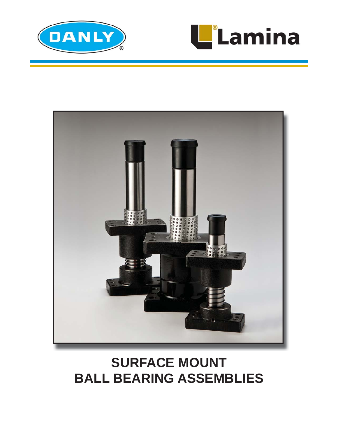





# **SURFACE MOUNT BALL BEARING ASSEMBLIES**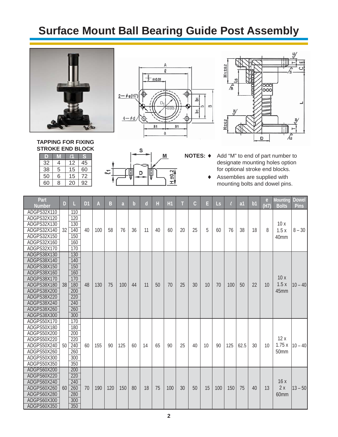### **Surface Mount Ball Bearing Guide Post Assembly**





M

 $\frac{H + 0.2}{2}$ 

S

D



**NOTES: ♦** Add "M" to end of part number to designate mounting holes option for optional stroke end blocks.

 Assemblies are supplied with mounting bolts and dowel pins.

| Part<br><b>Number</b>                                                                                                                                                            | D               | L                                                                                | D <sub>1</sub> | A   | B   | a   | $\mathbf b$ | $\mathsf{d}$ | Н  | H1  | т  | $\mathsf{C}$ | E  | <b>Ls</b> | $\ell$ | a <sub>1</sub> | b <sub>1</sub> | e<br>(H7) | <b>Mounting</b><br><b>Bolts</b> | <b>Dowel</b><br><b>Pins</b> |
|----------------------------------------------------------------------------------------------------------------------------------------------------------------------------------|-----------------|----------------------------------------------------------------------------------|----------------|-----|-----|-----|-------------|--------------|----|-----|----|--------------|----|-----------|--------|----------------|----------------|-----------|---------------------------------|-----------------------------|
| ADGPS32X110<br>ADGPS32X120<br>ADGPS32X130<br>ADGPS32X140<br>ADGPS32X150                                                                                                          | 32              | 110<br>120<br>130<br>140<br>150                                                  | 40             | 100 | 58  | 76  | 36          | 11           | 40 | 60  | 20 | 25           | 5  | 60        | 76     | 38             | 18             | 8         | 10x<br>1.5x<br>40 <sub>mm</sub> | $8 - 30$                    |
| ADGPS32X160<br>ADGPS32X170                                                                                                                                                       |                 | 160<br>170                                                                       |                |     |     |     |             |              |    |     |    |              |    |           |        |                |                |           |                                 |                             |
| ADGPS38X130<br>ADGPS38X140<br>ADGPS38X150<br>ADGPS38X160<br>ADGPS38X170<br>ADGPS38X180<br>ADGPS38X200<br>ADGPS38X220<br>ADGPS38X240<br>ADGPS38X260<br>ADGPS38X300<br>ADGPS50X170 | 38              | 130<br>140<br>150<br>160<br>170<br>180<br>200<br>220<br>240<br>260<br>300<br>170 | 48             | 130 | 75  | 100 | 44          | 11           | 50 | 70  | 25 | 30           | 10 | 70        | 100    | 50             | 22             | 10        | 10x<br>1.5x<br>45mm             | $10 - 40$                   |
| ADGPS50X180<br>ADGPS50X200<br>ADGPS50X220<br>ADGPS50X240<br>ADGPS50X260<br>ADGPS50X300<br>ADGPS50X350                                                                            | 50 <sup>1</sup> | 180<br>200<br>220<br>240<br>260<br>300<br>350                                    | 60             | 155 | 90  | 125 | 60          | 14           | 65 | 90  | 25 | 40           | 10 | 90        | 125    | 62.5           | 30             | 10        | 12x<br>1.75x<br>50mm            | $10 - 40$                   |
| ADGPS60X200<br>ADGPS60X220<br>ADGPS60X240<br>ADGPS60X260<br>ADGPS60X280<br>ADGPS60X300<br>ADGPS60X350                                                                            | 60 <sup>1</sup> | 200<br>220<br>240<br>260<br>280<br>300<br>350                                    | 70             | 190 | 120 | 150 | 80          | 18           | 75 | 100 | 30 | 50           | 15 | 100       | 150    | 75             | 40             | 13        | 16x<br>2x<br>60mm               | $13 - 50$                   |

**TAPPING FOR FIXING STROKE END BLOCK D M** l**1 S**

| 32 |   | 12 | 45 |  |
|----|---|----|----|--|
| 38 | 5 | 15 | 60 |  |
| 50 | հ | 15 | 72 |  |
| 60 | 8 | 20 | 92 |  |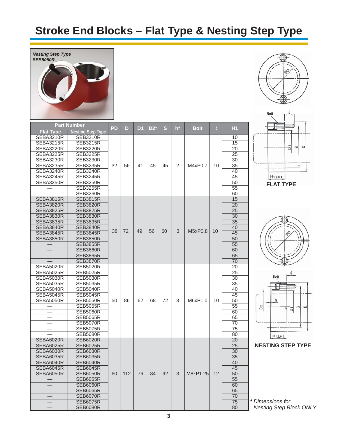## **Stroke End Blocks – Flat Type & Nesting Step Type**



|                  | <b>Part Number</b>                 | PD | D   | D1 | $D2^*$ | S. | $h^*$ | <b>Bolt</b> | $\ell$ | Н1       |
|------------------|------------------------------------|----|-----|----|--------|----|-------|-------------|--------|----------|
| <b>Flat Type</b> | <b>Nesting Step Type</b>           |    |     |    |        |    |       |             |        |          |
| SEBA3210R        | <b>SEB3210R</b>                    |    |     |    |        |    |       |             |        | 10       |
| <b>SEBA3215R</b> | <b>SEB3215R</b>                    |    |     |    |        |    |       |             |        | 15       |
| SEBA3220R        | <b>SEB3220R</b>                    |    |     |    |        |    |       |             |        | 20       |
| SEBA3225R        | <b>SEB3225R</b>                    |    |     |    |        |    |       |             |        | 25       |
| SEBA3230R        | <b>SEB3230R</b>                    |    |     |    |        |    |       |             |        | 30       |
| SEBA3235R        | <b>SEB3235R</b>                    | 32 | 56  | 41 | 45     | 45 | 2     | M4xP0.7     | 10     | 35       |
| SEBA3240R        | <b>SEB3240R</b>                    |    |     |    |        |    |       |             |        | 40       |
| SEBA3245R        | <b>SEB3245R</b>                    |    |     |    |        |    |       |             |        | 45       |
| SEBA3250R        | <b>SEB3250R</b>                    |    |     |    |        |    |       |             |        | 50       |
|                  | <b>SEB3255R</b>                    |    |     |    |        |    |       |             |        | 55       |
|                  | <b>SEB3260R</b>                    |    |     |    |        |    |       |             |        | 60       |
| <b>SEBA3815R</b> | <b>SEB3815R</b>                    |    |     |    |        |    |       |             |        | 15       |
| <b>SEBA3820R</b> | <b>SEB3820R</b>                    |    |     |    |        |    |       |             |        | 20       |
| SEBA3825R        | <b>SEB3825R</b>                    |    |     |    |        |    |       |             |        | 25       |
| SEBA3830R        | <b>SEB3830R</b>                    |    |     |    |        |    |       |             |        | 30       |
| SEBA3835R        | <b>SEB3835R</b>                    |    |     |    |        |    |       |             |        | 35       |
| SEBA3840R        | <b>SEB3840R</b>                    | 38 | 72  | 49 | 56     | 60 | 3     | M5xP0.8     | 10     | 40       |
| SEBA3845R        | <b>SEB3845R</b>                    |    |     |    |        |    |       |             |        | 45       |
| SEBA3850R        | <b>SEB3850R</b>                    |    |     |    |        |    |       |             |        | 50       |
|                  | <b>SEB3855R</b>                    |    |     |    |        |    |       |             |        | 55       |
|                  | <b>SEB3860R</b>                    |    |     |    |        |    |       |             |        | 60       |
|                  | <b>SEB3865R</b>                    |    |     |    |        |    |       |             |        | 65       |
|                  | <b>SEB3870R</b>                    |    |     |    |        |    |       |             |        | 70       |
| <b>SEBA5020R</b> | <b>SEB5020R</b>                    |    |     |    |        |    |       |             |        | 20       |
| SEBA5025R        | <b>SEB5025R</b>                    |    |     |    |        |    |       |             |        | 25       |
| SEBA5030R        | <b>SEB5030R</b>                    |    |     |    |        |    |       |             |        | 30       |
| SEBA5035R        | <b>SEB5035R</b>                    |    |     |    |        |    |       |             |        | 35       |
| SEBA5040R        | <b>SEB5040R</b>                    |    |     |    |        |    |       |             |        | 40       |
| SEBA5045R        | <b>SEB5045R</b>                    |    |     |    |        |    |       |             |        | 45       |
| SEBA5050R        | <b>SEB5050R</b>                    | 50 | 86  | 62 | 68     | 72 | 3     | M6xP1.0     | 10     | 50       |
|                  | <b>SEB5055R</b>                    |    |     |    |        |    |       |             |        | 55       |
|                  | <b>SEB5060R</b>                    |    |     |    |        |    |       |             |        | 60       |
|                  | <b>SEB5065R</b>                    |    |     |    |        |    |       |             |        | 65       |
|                  | <b>SEB5070R</b><br><b>SEB5075R</b> |    |     |    |        |    |       |             |        | 70<br>75 |
|                  | <b>SEB5080R</b>                    |    |     |    |        |    |       |             |        | 80       |
| SEBA6020R        | <b>SEB6020R</b>                    |    |     |    |        |    |       |             |        | 20       |
| SEBA6025R        | <b>SEB6025R</b>                    |    |     |    |        |    |       |             |        | 25       |
| SEBA6030R        | <b>SEB6030R</b>                    |    |     |    |        |    |       |             |        | 30       |
| <b>SEBA6035R</b> | <b>SEB6035R</b>                    |    |     |    |        |    |       |             |        | 35       |
| SEBA6040R        | <b>SEB6040R</b>                    |    |     |    |        |    |       |             |        | 40       |
| SEBA6045R        | <b>SEB6045R</b>                    |    |     |    |        |    |       |             |        | 45       |
| SEBA6050R        | <b>SEB6050R</b>                    | 60 | 112 | 76 | 84     | 92 | 3     | M8xP1.25    | 12     | 50       |
|                  | <b>SEB6055R</b>                    |    |     |    |        |    |       |             |        | 55       |
|                  | <b>SEB6060R</b>                    |    |     |    |        |    |       |             |        | 60       |
|                  | <b>SEB6065R</b>                    |    |     |    |        |    |       |             |        | 65       |
|                  | <b>SEB6070R</b>                    |    |     |    |        |    |       |             |        | 70       |
|                  | <b>SEB6075R</b>                    |    |     |    |        |    |       |             |        | 75       |
|                  | <b>SEB6080R</b>                    |    |     |    |        |    |       |             |        | 80       |









**NESTING STEP TYPE**

*\* Dimensions for Nesting Step Block ONLY.*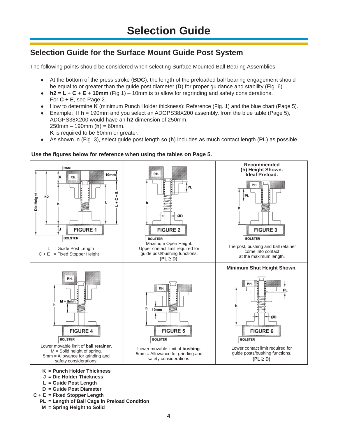#### **Selection Guide for the Surface Mount Guide Post System**

The following points should be considered when selecting Surface Mounted Ball Bearing Assemblies:

- At the bottom of the press stroke (**BDC**), the length of the preloaded ball bearing engagement should be equal to or greater than the guide post diameter (**D**) for proper guidance and stability (Fig. 6).
- **h2 = L + C + E + 10mm** (Fig 1) 10mm is to allow for regrinding and safety considerations. For **C + E**, see Page 2.
- How to determine **K** (minimum Punch Holder thickness): Reference (Fig. 1) and the blue chart (Page 5).
- Example: If **h** = 190mm and you select an ADGPS38X200 assembly, from the blue table (Page 5), ADGPS38X200 would have an **h2** dimension of 250mm. 250mm – 190mm (**h**) = 60mm.  **K** is required to be 60mm or greater.
- As shown in (Fig. 3), select guide post length so (**h**) includes as much contact length (**PL**) as possible.



#### **Use the fi gures below for reference when using the tables on Page 5.**

- **C + E = Fixed Stopper Length**
	- **PL = Length of Ball Cage in Preload Condition**
	- **M = Spring Height to Solid**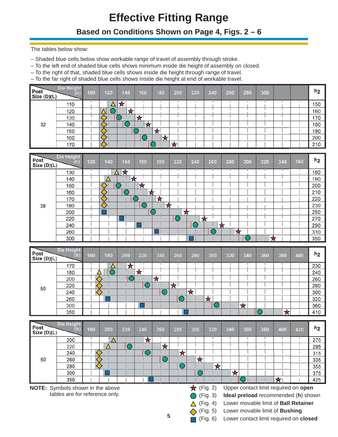## **Effective Fitting Range**

#### **Based on Conditions Shown on Page 4, Figs. 2 – 6**

- Shaded blue cells below show workable range of travel of assembly through stroke.
- To the left end of shaded blue cells shows minimum inside die height of assembly on closed.
- To the right of that, shaded blue cells shows inside die height through range of travel.
- To the far right of shaded blue cells shows inside die height at end of workable travel.

| Post<br>Size (D)(L) | Die Height | 100 | 120 |   | 140              | 160 | 180 | 200 | 220 | 240 | 260 | 280 | 300 |  | h <sub>2</sub> |
|---------------------|------------|-----|-----|---|------------------|-----|-----|-----|-----|-----|-----|-----|-----|--|----------------|
|                     | 110        |     |     | 大 |                  |     |     |     |     |     |     |     |     |  | 150            |
|                     | 120        |     |     |   | $\triangleright$ |     |     |     |     |     |     |     |     |  | 160            |
|                     | 130        |     |     |   |                  | ∽   |     |     |     |     |     |     |     |  | 170            |
| 32                  | 140        |     |     |   |                  |     |     |     |     |     |     |     |     |  | 180            |
|                     | 150        |     |     |   |                  |     |     |     |     |     |     |     |     |  | 190            |
|                     | 160        |     |     |   |                  |     | W   |     |     |     |     |     |     |  | 200            |
|                     | 170        |     |     |   |                  |     |     |     |     |     |     |     |     |  | 210            |

|                                                                                     | The tables below show:                                                                        |     |     |            |            |            |            |                  |            |         |            |                                      |            |     |                |
|-------------------------------------------------------------------------------------|-----------------------------------------------------------------------------------------------|-----|-----|------------|------------|------------|------------|------------------|------------|---------|------------|--------------------------------------|------------|-----|----------------|
| - Shaded blue cells below show workable range of travel of assembly through stroke. |                                                                                               |     |     |            |            |            |            |                  |            |         |            |                                      |            |     |                |
|                                                                                     | - To the left end of shaded blue cells shows minimum inside die height of assembly on closed. |     |     |            |            |            |            |                  |            |         |            |                                      |            |     |                |
|                                                                                     | - To the right of that, shaded blue cells shows inside die height through range of travel.    |     |     |            |            |            |            |                  |            |         |            |                                      |            |     |                |
|                                                                                     | - To the far right of shaded blue cells shows inside die height at end of workable travel.    |     |     |            |            |            |            |                  |            |         |            |                                      |            |     |                |
|                                                                                     | Die Height                                                                                    |     |     |            |            |            |            |                  |            |         |            |                                      |            |     |                |
| Post                                                                                | (h)                                                                                           | 100 | 120 | 140        | 160        | 180        | 200        | 220              | 240        | 260     | 280        | 300                                  |            |     | h <sub>2</sub> |
| Size (D)(L)                                                                         |                                                                                               |     |     |            |            |            |            |                  |            |         |            |                                      |            |     |                |
|                                                                                     | 110                                                                                           |     | Δ   | $\star$    |            |            |            |                  |            |         |            |                                      |            |     | 150            |
|                                                                                     | 120                                                                                           |     |     | ★          |            |            |            |                  |            |         |            |                                      |            |     | 160            |
|                                                                                     | 130                                                                                           |     |     |            | $\star$    |            |            |                  |            |         |            |                                      |            |     | 170            |
| 32                                                                                  | 140                                                                                           |     |     |            | $\star$    |            |            |                  |            |         |            |                                      |            |     | 180            |
|                                                                                     | 150                                                                                           |     |     |            |            | $\bigstar$ |            |                  |            |         |            |                                      |            |     | 190            |
|                                                                                     | 160                                                                                           |     |     |            |            | $\bigstar$ |            |                  |            |         |            |                                      |            |     | 200            |
|                                                                                     | 170                                                                                           |     |     |            |            |            | $\star$    |                  |            |         |            |                                      |            |     | 210            |
|                                                                                     |                                                                                               |     |     |            |            |            |            |                  |            |         |            |                                      |            |     |                |
| Post                                                                                | Die Height<br>(h)                                                                             | 120 | 140 | 160        | 180        | 200        | 220        | 240              | 260        | 280     | 300        | 320                                  | 340        | 360 | h <sub>2</sub> |
| Size (D)(L)                                                                         |                                                                                               |     |     |            |            |            |            |                  |            |         |            |                                      |            |     |                |
|                                                                                     | 130                                                                                           |     |     | ₩          |            |            |            |                  |            |         |            |                                      |            |     | 180            |
|                                                                                     | 140                                                                                           |     | Δ   | ╈          |            |            |            |                  |            |         |            |                                      |            |     | 190            |
|                                                                                     | 150                                                                                           |     |     |            | $\bigstar$ |            |            |                  |            |         |            |                                      |            |     | 200            |
|                                                                                     | 160                                                                                           |     |     |            | ╈          |            |            |                  |            |         |            |                                      |            |     | 210            |
|                                                                                     | 170                                                                                           |     |     |            |            | $\star$    |            |                  |            |         |            |                                      |            |     | 220            |
| 38                                                                                  | 180                                                                                           |     |     |            |            | ★          |            |                  |            |         |            |                                      |            |     | 230            |
|                                                                                     | 200                                                                                           |     |     |            |            |            | ★          |                  |            |         |            |                                      |            |     | 250            |
|                                                                                     | 220                                                                                           |     |     |            |            |            |            |                  | ★          |         |            |                                      |            |     | 270            |
|                                                                                     | 240                                                                                           |     |     |            |            |            |            |                  |            | $\star$ |            |                                      |            |     | 290            |
|                                                                                     | 260                                                                                           |     |     |            |            |            |            |                  |            | ★       |            |                                      |            |     | 310            |
|                                                                                     | 300                                                                                           |     |     |            |            |            |            |                  |            |         |            | ★                                    |            |     | 350            |
|                                                                                     | Die Height                                                                                    |     |     |            |            |            |            |                  |            |         |            |                                      |            |     |                |
| Post                                                                                | (h)                                                                                           | 160 | 180 | 200        | 220        | 240        | 260        | 280              | 300        | 320     | 340        | 360                                  | 380        | 400 | h <sub>2</sub> |
| Size (D)(L)                                                                         |                                                                                               |     |     |            |            |            |            |                  |            |         |            |                                      |            |     |                |
|                                                                                     | 170                                                                                           |     | Δ   | $\bigstar$ |            |            |            |                  |            |         |            |                                      |            |     | 230            |
|                                                                                     | 180                                                                                           |     | ◯   |            | $\bigstar$ |            |            |                  |            |         |            |                                      |            |     | 240            |
|                                                                                     | 200                                                                                           |     |     |            |            | $\bigstar$ |            |                  |            |         |            |                                      |            |     | 260            |
| 50                                                                                  | 220                                                                                           |     |     |            |            |            | $\bigstar$ |                  |            |         |            |                                      |            |     | 280            |
|                                                                                     | 240                                                                                           |     |     |            |            |            |            | $\bigstar$       |            |         |            |                                      |            |     | 300            |
|                                                                                     | 260                                                                                           |     |     |            |            |            | O          |                  | $\bigstar$ |         |            |                                      |            |     | 320            |
|                                                                                     | 300                                                                                           |     |     |            |            |            |            |                  |            |         | $\star$    | ∩                                    |            |     | 360            |
|                                                                                     | 350                                                                                           |     |     |            |            |            |            |                  |            |         |            |                                      | $\star$    |     | 410            |
|                                                                                     | Die Height                                                                                    |     |     |            |            |            |            |                  |            |         |            |                                      |            |     |                |
| Post                                                                                | (h)                                                                                           | 180 | 200 | 220        | 240        | 260        | 280        | 300              | 320        | 340     | 360        | 380                                  | 400        | 420 | h <sub>2</sub> |
| Size (D)(L)                                                                         |                                                                                               |     |     |            |            |            |            |                  |            |         |            |                                      |            |     |                |
|                                                                                     | 200                                                                                           |     | Δ   |            | ★          |            |            |                  |            |         |            |                                      |            |     | 275            |
|                                                                                     | 220                                                                                           |     |     | O          |            | $\star$    |            |                  |            |         |            |                                      |            |     | 295            |
|                                                                                     | 240                                                                                           |     |     |            | O          |            | $\bigstar$ |                  |            |         |            |                                      |            |     | 315            |
| 60                                                                                  | 260                                                                                           |     |     |            |            | $\bf{O}$   |            | $\star$          |            |         |            |                                      |            |     | 335            |
|                                                                                     | 280                                                                                           |     |     |            |            |            | O          |                  | *          |         |            |                                      |            |     | 355            |
|                                                                                     | 300                                                                                           |     |     |            |            |            |            |                  |            | $\star$ | $\bigcirc$ |                                      | $\bigstar$ |     | 375            |
|                                                                                     | 350                                                                                           |     |     |            |            |            |            |                  |            |         |            |                                      |            |     | 425            |
|                                                                                     | NOTE: Symbols shown in the above                                                              |     |     |            |            |            |            | $\star$ (Fig. 2) |            |         |            | Upper contact limit required on open |            |     |                |

| Post<br>Size (D)(L) | Die Height<br>$\mathbf{r}$ | 160 | 180 | 200 | 220 | 240    |   | 260 | 280 |   | 300 | 320 | 340 | 360 | 380                        | 400 | h <sub>2</sub> |
|---------------------|----------------------------|-----|-----|-----|-----|--------|---|-----|-----|---|-----|-----|-----|-----|----------------------------|-----|----------------|
|                     | 170                        |     |     | ★   |     |        |   |     |     |   |     |     |     |     |                            |     | 230            |
|                     | 180                        |     |     |     | r   |        |   |     |     |   |     |     |     |     |                            |     | 240            |
|                     | 200                        |     |     |     |     | ᅩ<br>∼ |   |     |     |   |     |     |     |     |                            |     | 260            |
| 50                  | 220                        |     |     |     |     |        | r |     |     |   |     |     |     |     |                            |     | 280            |
|                     | 240                        |     |     |     |     |        |   |     | А   |   |     |     |     |     |                            |     | 300            |
|                     | 260                        |     |     |     |     |        |   |     |     | - |     |     |     |     |                            |     | 320            |
|                     | 300                        |     |     |     |     |        |   |     |     |   |     |     | ★   |     |                            |     | 360            |
|                     | 350                        |     |     |     |     |        |   |     |     |   |     |     |     |     | ┶<br>$\blacktriangleright$ |     | 410            |

| Post<br>Size (D)(L)              | Die Height<br>យ                | 180 | 200 | 220 | 240 | 260 | 280 | 300          | 320      | 340 | 360 | 380 | 400                                   | 420                                         | h <sub>2</sub> |
|----------------------------------|--------------------------------|-----|-----|-----|-----|-----|-----|--------------|----------|-----|-----|-----|---------------------------------------|---------------------------------------------|----------------|
|                                  | 200                            |     |     |     | ★   |     |     |              |          |     |     |     |                                       |                                             | 275            |
|                                  | 220                            |     |     |     |     | ★   |     |              |          |     |     |     |                                       |                                             | 295            |
|                                  | 240                            |     |     |     |     |     | ★   |              |          |     |     |     |                                       |                                             | 315            |
| 60                               | 260                            |     |     |     |     |     |     | ★            |          |     |     |     |                                       |                                             | 335            |
|                                  | 280                            |     |     |     |     |     |     |              | ★        |     |     |     |                                       |                                             | 355            |
|                                  | 300                            |     |     |     |     |     |     |              |          | ★   |     |     |                                       |                                             | 375            |
|                                  | 350                            |     |     |     |     |     |     |              |          |     |     |     |                                       |                                             | 425            |
| NOTE: Symbols shown in the above |                                |     |     |     |     |     |     | $\mathbf{v}$ | (Fig. 2) |     |     |     |                                       | Upper contact limit required on open        |                |
|                                  | tables are for reference only. |     |     |     |     |     |     |              | (Fig. 3) |     |     |     |                                       | Ideal preload recommended (h) shown         |                |
|                                  |                                |     |     |     |     |     |     |              | (Fig. 4) |     |     |     |                                       | Lower movable limit of <b>Ball Retainer</b> |                |
|                                  |                                |     |     |     |     |     |     |              | (Fig. 5) |     |     |     | Lower movable limit of <b>Bushing</b> |                                             |                |

(Fig. 6) Lower contact limit required on **closed**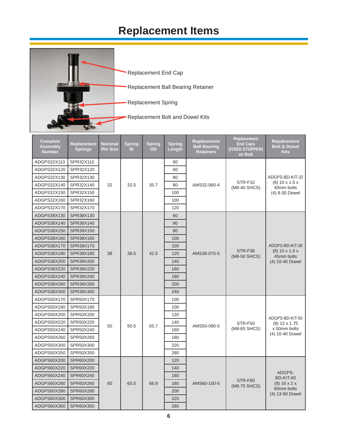## **Replacement Items**



| <b>Complete</b><br><b>Assembly</b><br><b>Number</b> | Replacement<br><b>Springs</b> | <b>Nominal</b><br><b>Pin Size</b> | <b>Spring</b><br>ID | <b>Spring</b><br>OD | <b>Spring</b><br>Length | <b>Replacement</b><br><b>Ball Bearing</b><br><b>Retainers</b> | Replacement<br><b>End Caps</b><br>(FIXED STOPPER)<br>w/ Bolt | <b>Repalcement</b><br><b>Bolt &amp; Dowel</b><br><b>Kits</b> |
|-----------------------------------------------------|-------------------------------|-----------------------------------|---------------------|---------------------|-------------------------|---------------------------------------------------------------|--------------------------------------------------------------|--------------------------------------------------------------|
| ADGPS32X110                                         | SPR32X110                     |                                   |                     |                     | 60                      |                                                               |                                                              |                                                              |
| ADGPS32X120                                         | SPR32X120                     |                                   |                     |                     | 60                      |                                                               |                                                              |                                                              |
| ADGPS32X130                                         | SPR32X130                     |                                   |                     |                     | 80                      |                                                               |                                                              | ADGPS-BD-KIT-32                                              |
| ADGPS32X140                                         | SPR32X140                     | 32                                | 32.5                | 35.7                | 80                      | AMS32-060-4                                                   | STR-F32<br>(M8-40 SHCS)                                      | $(8)$ 10 x 1.5 x<br>40mm bolts                               |
| ADGPS32X150                                         | SPR32X150                     |                                   |                     |                     | 100                     |                                                               |                                                              | (4) 8-30 Dowel                                               |
| ADGPS32X160                                         | SPR32X160                     |                                   |                     |                     | 100                     |                                                               |                                                              |                                                              |
| ADGPS32X170                                         | SPR32X170                     |                                   |                     |                     | 120                     |                                                               |                                                              |                                                              |
| ADGPS38X130                                         | SPR38X130                     |                                   |                     |                     | 60                      |                                                               |                                                              |                                                              |
| ADGPS38X140                                         | SPR38X140                     |                                   |                     |                     | 80                      |                                                               |                                                              |                                                              |
| ADGPS38X150                                         | SPR38X150                     |                                   |                     |                     | 80                      |                                                               |                                                              |                                                              |
| ADGPS38X160                                         | SPR38X160                     |                                   |                     |                     | 100                     |                                                               |                                                              |                                                              |
| ADGPS38X170                                         | SPR38X170                     |                                   |                     |                     | 100                     |                                                               |                                                              | ADGPS-BD-KIT-38                                              |
| ADGPS38X180                                         | SPR38X180                     | 38                                | 38.5                | 42.5                | 120                     | AMS38-070-5                                                   | STR-F38<br>(M8-50 SHCS)                                      | $(8)$ 10 x 1.5 x<br>45mm bolts                               |
| ADGPS38X200                                         | SPR38X200                     |                                   |                     |                     | 140                     |                                                               |                                                              | (4) 10-40 Dowel                                              |
| ADGPS38X220                                         | SPR38X220                     |                                   |                     |                     | 160                     |                                                               |                                                              |                                                              |
| ADGPS38X240                                         | SPR38X240                     |                                   |                     |                     | 180                     |                                                               |                                                              |                                                              |
| ADGPS38X260                                         | SPR38X260                     |                                   |                     |                     | 200                     |                                                               |                                                              |                                                              |
| ADGPS38X300                                         | SPR38X300                     |                                   |                     |                     | 240                     |                                                               |                                                              |                                                              |
| ADGPS50X170                                         | SPR50X170                     |                                   |                     |                     | 100                     |                                                               |                                                              |                                                              |
| ADGPS50X180                                         | SPR50X180                     |                                   |                     |                     | 100                     |                                                               |                                                              |                                                              |
| ADGPS50X200                                         | SPR50X200                     |                                   |                     |                     | 120                     |                                                               |                                                              | ADGPS-BD-KIT-50                                              |
| ADGPS50X220                                         | SPR50X220                     | 50                                | 50.5                | 55.7                | 140                     | AMS50-090-5                                                   | STR-F50                                                      | $(8)$ 12 x 1.75                                              |
| ADGPS50X240                                         | SPR50X240                     |                                   |                     |                     | 160                     |                                                               | (M8-65 SHCS)                                                 | x 50mm bolts                                                 |
| ADGPS50X260                                         | SPR50X260                     |                                   |                     |                     | 180                     |                                                               |                                                              | (4) 10-40 Dowel                                              |
| ADGPS50X300                                         | SPR50X300                     |                                   |                     |                     | 220                     |                                                               |                                                              |                                                              |
| ADGPS50X350                                         | SPR50X350                     |                                   |                     |                     | 280                     |                                                               |                                                              |                                                              |
| ADGPS60X200                                         | SPR60X200                     |                                   |                     |                     | 120                     |                                                               |                                                              |                                                              |
| ADGPS60X220                                         | SPR60X220                     |                                   |                     |                     | 140                     |                                                               |                                                              |                                                              |
| ADGPS60X240                                         | SPR60X240                     |                                   |                     |                     | 160                     |                                                               |                                                              | ADGPS-<br>BD-KIT-60                                          |
| ADGPS60X260                                         | SPR60X260                     | 60                                | 60.5                | 66.9                | 180                     | AMS60-100-5                                                   | STR-F60<br>(M8-75 SHCS)                                      | $(8)$ 16 x 2 x                                               |
| ADGPS60X280                                         | SPR60X280                     |                                   |                     |                     | 200                     |                                                               |                                                              | 60mm bolts<br>(4) 13-50 Dowel                                |
| ADGPS60X300                                         | SPR60X300                     |                                   |                     |                     | 220                     |                                                               |                                                              |                                                              |
| ADGPS60X350                                         | SPR60X350                     |                                   |                     |                     | 280                     |                                                               |                                                              |                                                              |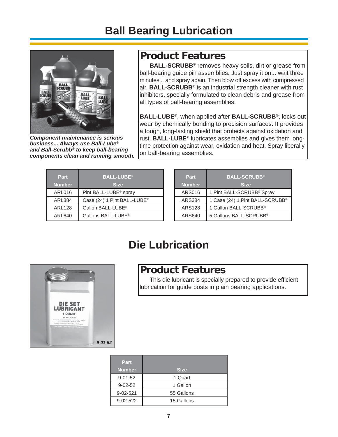### **Ball Bearing Lubrication**



*Component maintenance is serious business... Always use Ball-Lube® and Ball-Scrubb® to keep ball-bearing components clean and running smooth.*

### **Product Features**

**BALL-SCRUBB®** removes heavy soils, dirt or grease from ball-bearing guide pin assemblies. Just spray it on... wait three minutes... and spray again. Then blow off excess with compressed air. **BALL-SCRUBB®** is an industrial strength cleaner with rust inhibitors, specially formulated to clean debris and grease from all types of ball-bearing assemblies.

**BALL-LUBE®**, when applied after **BALL-SCRUBB®**, locks out wear by chemically bonding to precision surfaces. It provides a tough, long-lasting shield that protects against oxidation and rust. **BALL-LUBE®** lubricates assemblies and gives them longtime protection against wear, oxidation and heat. Spray liberally on ball-bearing assemblies.

| <b>BALL-LUBE®</b>                       |
|-----------------------------------------|
| <b>Size</b>                             |
| Pint BALL-LUBE <sup>®</sup> spray       |
| Case (24) 1 Pint BALL-LUBE <sup>®</sup> |
| Gallon BALL-LUBE <sup>®</sup>           |
| Gallons BALL-LUBE <sup>®</sup>          |
|                                         |

| Part<br><b>Number</b> | <b>BALL-SCRUBB®</b><br><b>Size</b>    |
|-----------------------|---------------------------------------|
| <b>ARS016</b>         | 1 Pint BALL-SCRUBB <sup>®</sup> Spray |
| <b>ARS384</b>         | 1 Case (24) 1 Pint BALL-SCRUBB®       |
| <b>ARS128</b>         | 1 Gallon BALL-SCRUBB <sup>®</sup>     |
| ARS640                | 5 Gallons BALL-SCRUBB®                |

### **Die Lubrication**



#### **Product Features**

This die lubricant is specially prepared to provide efficient lubrication for guide posts in plain bearing applications.

| Part           |             |
|----------------|-------------|
| <b>Number</b>  | <b>Size</b> |
| $9 - 01 - 52$  | 1 Quart     |
| $9 - 02 - 52$  | 1 Gallon    |
| $9 - 02 - 521$ | 55 Gallons  |
| $9 - 02 - 522$ | 15 Gallons  |